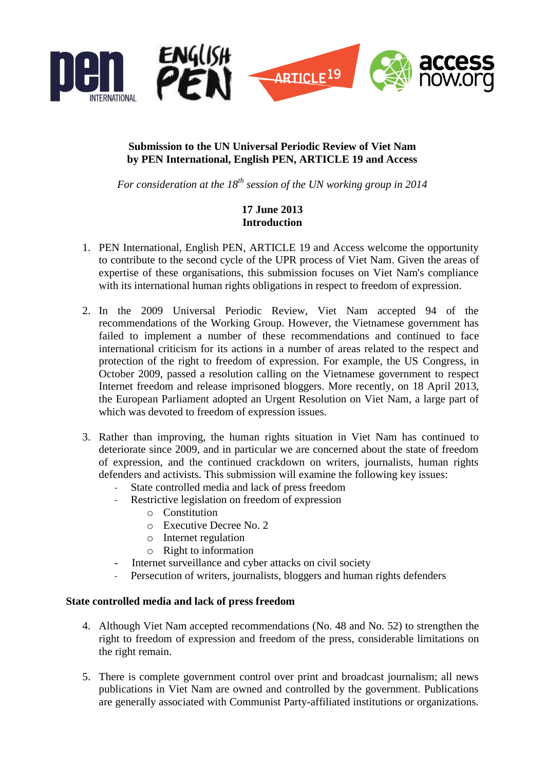

## **Submission to the UN Universal Periodic Review of Viet Nam by PEN International, English PEN, ARTICLE 19 and Access**

*For consideration at the 18th session of the UN working group in 2014*

# **17 June 2013 Introduction**

- 1. PEN International, English PEN, ARTICLE 19 and Access welcome the opportunity to contribute to the second cycle of the UPR process of Viet Nam. Given the areas of expertise of these organisations, this submission focuses on Viet Nam's compliance with its international human rights obligations in respect to freedom of expression.
- 2. In the 2009 Universal Periodic Review, Viet Nam accepted 94 of the recommendations of the Working Group. However, the Vietnamese government has failed to implement a number of these recommendations and continued to face international criticism for its actions in a number of areas related to the respect and protection of the right to freedom of expression. For example, the US Congress, in October 2009, passed a resolution calling on the Vietnamese government to respect Internet freedom and release imprisoned bloggers. More recently, on 18 April 2013, the European Parliament adopted an Urgent Resolution on Viet Nam, a large part of which was devoted to freedom of expression issues*.*
- 3. Rather than improving, the human rights situation in Viet Nam has continued to deteriorate since 2009, and in particular we are concerned about the state of freedom of expression, and the continued crackdown on writers, journalists, human rights defenders and activists. This submission will examine the following key issues:
	- State controlled media and lack of press freedom
	- Restrictive legislation on freedom of expression
		- o Constitution
		- o Executive Decree No. 2
		- o Internet regulation
		- o Right to information
	- Internet surveillance and cyber attacks on civil society
	- Persecution of writers, journalists, bloggers and human rights defenders

#### **State controlled media and lack of press freedom**

- 4. Although Viet Nam accepted recommendations (No. 48 and No. 52) to strengthen the right to freedom of expression and freedom of the press, considerable limitations on the right remain.
- 5. There is complete government control over print and broadcast journalism; all news publications in Viet Nam are owned and controlled by the government. Publications are generally associated with Communist Party-affiliated institutions or organizations.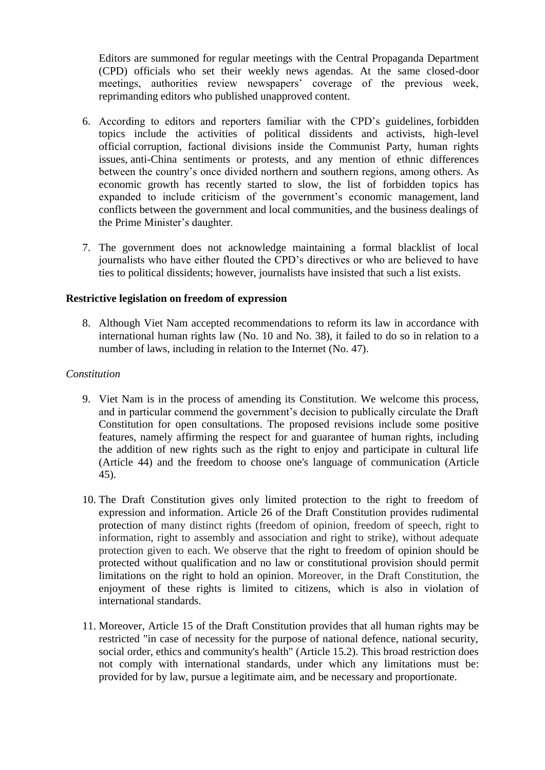Editors are summoned for regular [meetings](http://www.cpj.org/reports/2012/05/10-most-censored-countries.php#runners-up) with the Central Propaganda Department (CPD) officials who set their weekly news agendas. At the same closed-door meetings, authorities review newspapers' coverage of the previous week, reprimanding editors who published unapproved content.

- 6. According to editors and reporters familiar with the CPD's guidelines, [forbidden](http://www.cpj.org/2011/08/vietnamese-blogger-handed-harsh-prison-sentence.php) [topics](http://www.cpj.org/2011/08/vietnamese-blogger-handed-harsh-prison-sentence.php) include the activities of political dissidents and activists, high-level official [corruption,](http://www.cpj.org/2012/01/vietnamese-police-arrest-journalist-who-covered-co.php) factional divisions inside the Communist Party, human rights issues, anti-China [sentiments](http://www.cpj.org/2012/07/blogger-harassed-briefly-detained-by-police-in-vie.php) or protests, and any mention of ethnic differences between the country's once divided northern and southern regions, among others. As economic growth has recently started to slow, the list of forbidden topics has expanded to include criticism of the government's economic management, [land](http://www.cpj.org/blog/2012/05/attack-shows-all-reporters-at-risk-in-vietnam.php) [conflicts](http://www.cpj.org/blog/2012/05/attack-shows-all-reporters-at-risk-in-vietnam.php) between the government and local communities, and the business dealings of the Prime Minister's daughter.
- 7. The government does not acknowledge maintaining a formal blacklist of local journalists who have either flouted the CPD's directives or who are believed to have ties to political dissidents; however, journalists have insisted that such a list exists.

### **Restrictive legislation on freedom of expression**

8. Although Viet Nam accepted recommendations to reform its law in accordance with international human rights law (No. 10 and No. 38), it failed to do so in relation to a number of laws, including in relation to the Internet (No. 47).

#### *Constitution*

- 9. Viet Nam is in the process of amending its Constitution. We welcome this process, and in particular commend the government's decision to publically circulate the Draft Constitution for open consultations. The proposed revisions include some positive features, namely affirming the respect for and guarantee of human rights, including the addition of new rights such as the right to enjoy and participate in cultural life (Article 44) and the freedom to choose one's language of communication (Article 45).
- 10. The Draft Constitution gives only limited protection to the right to freedom of expression and information. Article 26 of the Draft Constitution provides rudimental protection of many distinct rights (freedom of opinion, freedom of speech, right to information, right to assembly and association and right to strike), without adequate protection given to each. We observe that the right to freedom of opinion should be protected without qualification and no law or constitutional provision should permit limitations on the right to hold an opinion. Moreover, in the Draft Constitution, the enjoyment of these rights is limited to citizens, which is also in violation of international standards.
- 11. Moreover, Article 15 of the Draft Constitution provides that all human rights may be restricted "in case of necessity for the purpose of national defence, national security, social order, ethics and community's health" (Article 15.2). This broad restriction does not comply with international standards, under which any limitations must be: provided for by law, pursue a legitimate aim, and be necessary and proportionate.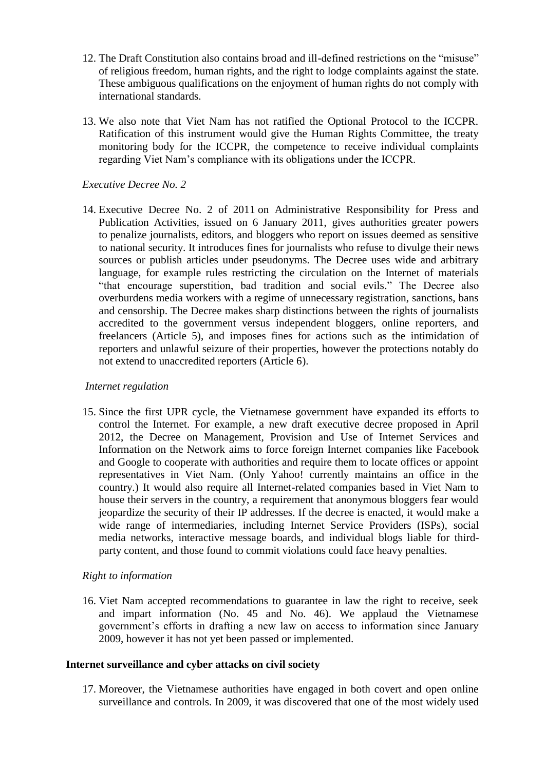- 12. The Draft Constitution also contains broad and ill-defined restrictions on the "misuse" of religious freedom, human rights, and the right to lodge complaints against the state. These ambiguous qualifications on the enjoyment of human rights do not comply with international standards.
- 13. We also note that Viet Nam has not ratified the Optional Protocol to the ICCPR. Ratification of this instrument would give the Human Rights Committee, the treaty monitoring body for the ICCPR, the competence to receive individual complaints regarding Viet Nam's compliance with its obligations under the ICCPR.

*Executive Decree No. 2*

14. Executive Decree No. 2 of 2011 on Administrative Responsibility for Press and Publication Activities, issued on 6 January 2011, gives authorities greater powers to penalize journalists, editors, and bloggers who report on issues deemed as sensitive to national security. It introduces fines for journalists who refuse to divulge their news sources or publish articles under pseudonyms. The Decree uses wide and arbitrary language, for example rules restricting the circulation on the Internet of materials "that encourage superstition, bad tradition and social evils." The Decree also overburdens media workers with a regime of unnecessary registration, sanctions, bans and censorship. The Decree makes sharp distinctions between the rights of journalists accredited to the government versus independent bloggers, online reporters, and freelancers (Article 5), and imposes fines for actions such as the intimidation of reporters and unlawful seizure of their properties, however the protections notably do not extend to unaccredited reporters (Article 6).

#### *Internet regulation*

15. Since the first UPR cycle, the Vietnamese government have expanded its efforts to control the Internet. For example, a new draft executive decree proposed in April 2012, the Decree on Management, Provision and Use of Internet Services and Information on the Network aims to force foreign Internet companies like Facebook and Google to cooperate with authorities and require them to locate offices or appoint representatives in Viet Nam. (Only Yahoo! currently maintains an office in the country.) It would also require all Internet-related companies based in Viet Nam to house their servers in the country, a requirement that anonymous bloggers fear would jeopardize the security of their IP addresses. If the decree is enacted, it would make a wide range of intermediaries, including Internet Service Providers (ISPs), social media networks, interactive message boards, and individual blogs liable for thirdparty content, and those found to commit violations could face heavy penalties.

#### *Right to information*

16. Viet Nam accepted recommendations to guarantee in law the right to receive, seek and impart information (No. 45 and No. 46). We applaud the Vietnamese government's efforts in drafting a new law on access to information since January 2009, however it has not yet been passed or implemented.

#### **Internet surveillance and cyber attacks on civil society**

17. Moreover, the Vietnamese authorities have engaged in both covert and open online surveillance and controls. In 2009, it was discovered that one of the most widely used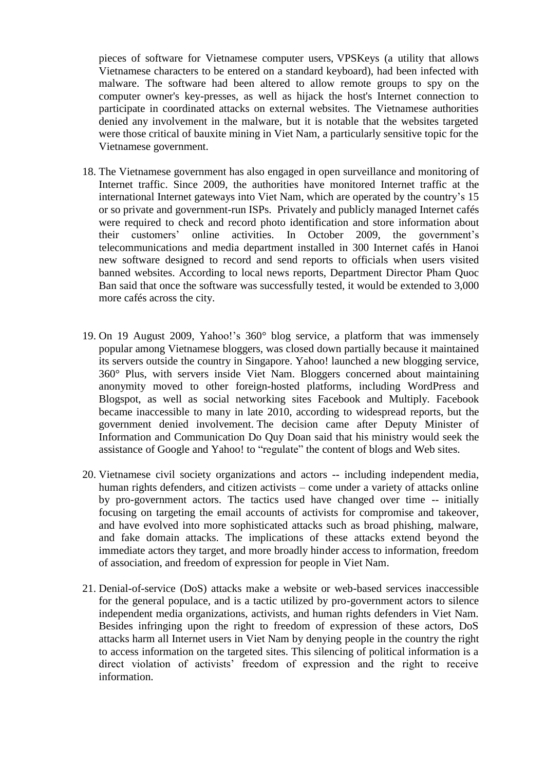pieces of software for Vietnamese computer users, VPSKeys (a utility that allows Vietnamese characters to be entered on a standard keyboard), had been infected with malware. The software had been altered to allow remote groups to spy on the computer owner's key-presses, as well as hijack the host's Internet connection to participate in coordinated attacks on external websites. The Vietnamese authorities denied any involvement in the malware, but it is notable that the websites targeted were those critical of bauxite mining in Viet Nam, a particularly sensitive topic for the Vietnamese government.

- 18. The Vietnamese government has also engaged in open surveillance and monitoring of Internet traffic. Since 2009, the authorities have monitored Internet traffic at the international Internet gateways into Viet Nam, which are operated by the country's 15 or so private and government-run ISPs. Privately and publicly managed Internet cafés were required to check and record photo identification and store information about their customers' online activities. In October 2009, the government's telecommunications and media department installed in 300 Internet cafés in Hanoi new software designed to record and send reports to officials when users visited banned websites. According to local news reports, Department Director Pham Quoc Ban said that once the software was successfully tested, it would be extended to 3,000 more cafés across the city.
- 19. On 19 August 2009, Yahoo!'s 360° blog service, a platform that was immensely popular among Vietnamese bloggers, was closed down partially because it maintained its servers outside the country in Singapore. Yahoo! launched a new blogging service, 360° Plus, with servers inside Viet Nam. Bloggers concerned about maintaining anonymity moved to other foreign-hosted platforms, including WordPress and Blogspot, as well as social networking sites Facebook and Multiply. Facebook became inaccessible to many in late 2010, according to widespread reports, but the government denied involvement. The decision came after Deputy Minister of Information and Communication Do Quy Doan said that his ministry would seek the assistance of Google and Yahoo! to "regulate" the content of blogs and Web sites.
- 20. Vietnamese civil society organizations and actors -- including independent media, human rights defenders, and citizen activists – come under a variety of attacks online by pro-government actors. The tactics used have changed over time -- initially focusing on targeting the email accounts of activists for compromise and takeover, and have evolved into more sophisticated attacks such as broad phishing, malware, and fake domain attacks. The implications of these attacks extend beyond the immediate actors they target, and more broadly hinder access to information, freedom of association, and freedom of expression for people in Viet Nam.
- 21. Denial-of-service (DoS) attacks make a website or web-based services inaccessible for the general populace, and is a tactic utilized by pro-government actors to silence independent media organizations, activists, and human rights defenders in Viet Nam. Besides infringing upon the right to freedom of expression of these actors, DoS attacks harm all Internet users in Viet Nam by denying people in the country the right to access information on the targeted sites. This silencing of political information is a direct violation of activists' freedom of expression and the right to receive information.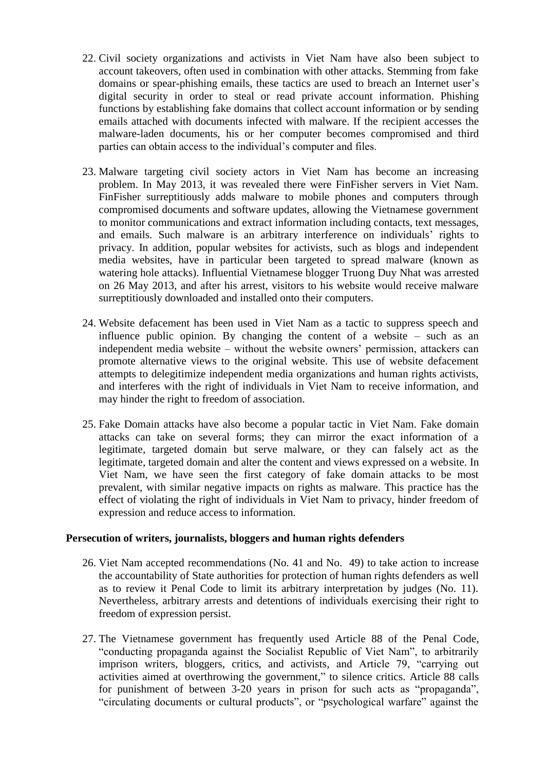- 22. Civil society organizations and activists in Viet Nam have also been subject to account takeovers, often used in combination with other attacks. Stemming from fake domains or spear-phishing emails, these tactics are used to breach an Internet user's digital security in order to steal or read private account information. Phishing functions by establishing fake domains that collect account information or by sending emails attached with documents infected with malware. If the recipient accesses the malware-laden documents, his or her computer becomes compromised and third parties can obtain access to the individual's computer and files.
- 23. Malware targeting civil society actors in Viet Nam has become an increasing problem. In May 2013, it was revealed there were FinFisher servers in Viet Nam. FinFisher surreptitiously adds malware to mobile phones and computers through compromised documents and software updates, allowing the Vietnamese government to monitor communications and extract information including contacts, text messages, and emails. Such malware is an arbitrary interference on individuals' rights to privacy. In addition, popular websites for activists, such as blogs and independent media websites, have in particular been targeted to spread malware (known as watering hole attacks). Influential Vietnamese blogger Truong Duy Nhat was arrested on 26 May 2013, and after his arrest, visitors to his website would receive malware surreptitiously downloaded and installed onto their computers.
- 24. Website defacement has been used in Viet Nam as a tactic to suppress speech and influence public opinion. By changing the content of a website – such as an independent media website – without the website owners' permission, attackers can promote alternative views to the original website. This use of website defacement attempts to delegitimize independent media organizations and human rights activists, and interferes with the right of individuals in Viet Nam to receive information, and may hinder the right to freedom of association.
- 25. Fake Domain attacks have also become a popular tactic in Viet Nam. Fake domain attacks can take on several forms; they can mirror the exact information of a legitimate, targeted domain but serve malware, or they can falsely act as the legitimate, targeted domain and alter the content and views expressed on a website. In Viet Nam, we have seen the first category of fake domain attacks to be most prevalent, with similar negative impacts on rights as malware. This practice has the effect of violating the right of individuals in Viet Nam to privacy, hinder freedom of expression and reduce access to information.

#### **Persecution of writers, journalists, bloggers and human rights defenders**

- 26. Viet Nam accepted recommendations (No. 41 and No. 49) to take action to increase the accountability of State authorities for protection of human rights defenders as well as to review it Penal Code to limit its arbitrary interpretation by judges (No. 11). Nevertheless, arbitrary arrests and detentions of individuals exercising their right to freedom of expression persist.
- 27. The Vietnamese government has frequently used Article 88 of the Penal Code, "conducting propaganda against the Socialist Republic of Viet Nam", to arbitrarily imprison writers, bloggers, critics, and activists, and Article 79, "carrying out activities aimed at overthrowing the government," to silence critics. Article 88 calls for punishment of between 3-20 years in prison for such acts as "propaganda", "circulating documents or cultural products", or "psychological warfare" against the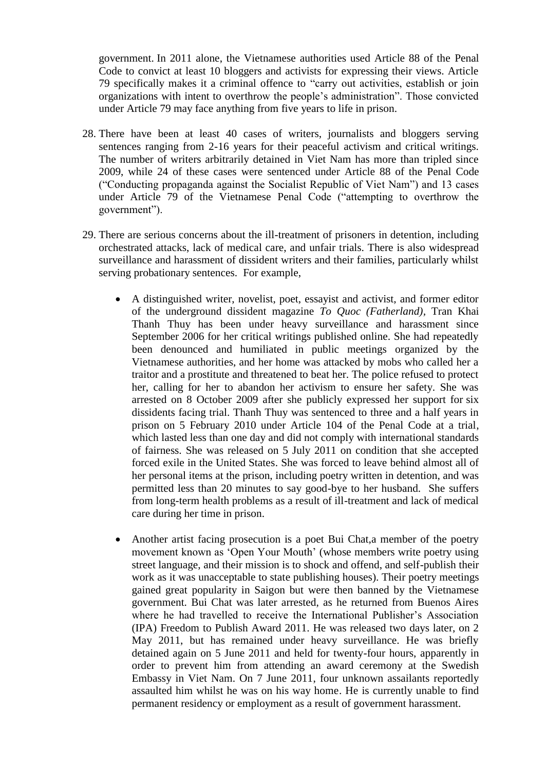government. In 2011 alone, the Vietnamese authorities used Article 88 of the Penal Code to convict at least 10 bloggers and activists for expressing their views. Article 79 specifically makes it a criminal offence to "carry out activities, establish or join organizations with intent to overthrow the people's administration". Those convicted under Article 79 may face anything from five years to life in prison.

- 28. There have been at least 40 cases of writers, journalists and bloggers serving sentences ranging from 2-16 years for their peaceful activism and critical writings. The number of writers arbitrarily detained in Viet Nam has more than tripled since 2009, while 24 of these cases were sentenced under Article 88 of the Penal Code ("Conducting propaganda against the Socialist Republic of Viet Nam") and 13 cases under Article 79 of the Vietnamese Penal Code ("attempting to overthrow the government").
- 29. There are serious concerns about the ill-treatment of prisoners in detention, including orchestrated attacks, lack of medical care, and unfair trials. There is also widespread surveillance and harassment of dissident writers and their families, particularly whilst serving probationary sentences. For example,
	- A distinguished writer, novelist, poet, essayist and activist, and former editor of the underground dissident magazine *To Quoc (Fatherland),* Tran Khai Thanh Thuy has been under heavy surveillance and harassment since September 2006 for her critical writings published online. She had repeatedly been denounced and humiliated in public meetings organized by the Vietnamese authorities, and her home was attacked by mobs who called her a traitor and a prostitute and threatened to beat her. The police refused to protect her, calling for her to abandon her activism to ensure her safety. She was arrested on 8 October 2009 after she publicly expressed her support for six dissidents facing trial. Thanh Thuy was sentenced to three and a half years in prison on 5 February 2010 under Article 104 of the Penal Code at a trial, which lasted less than one day and did not comply with international standards of fairness. She was released on 5 July 2011 on condition that she accepted forced exile in the United States. She was forced to leave behind almost all of her personal items at the prison, including poetry written in detention, and was permitted less than 20 minutes to say good-bye to her husband. She suffers from long-term health problems as a result of ill-treatment and lack of medical care during her time in prison.
	- Another artist facing prosecution is a poet Bui Chat, a member of the poetry movement known as 'Open Your Mouth' (whose members write poetry using street language, and their mission is to shock and offend, and self-publish their work as it was unacceptable to state publishing houses). Their poetry meetings gained great popularity in Saigon but were then banned by the Vietnamese government. Bui Chat was later arrested, as he returned from Buenos Aires where he had travelled to receive the International Publisher's Association (IPA) Freedom to Publish Award 2011. He was released two days later, on 2 May 2011, but has remained under heavy surveillance. He was briefly detained again on 5 June 2011 and held for twenty-four hours, apparently in order to prevent him from attending an award ceremony at the Swedish Embassy in Viet Nam. On 7 June 2011, four unknown assailants reportedly assaulted him whilst he was on his way home. He is currently unable to find permanent residency or employment as a result of government harassment.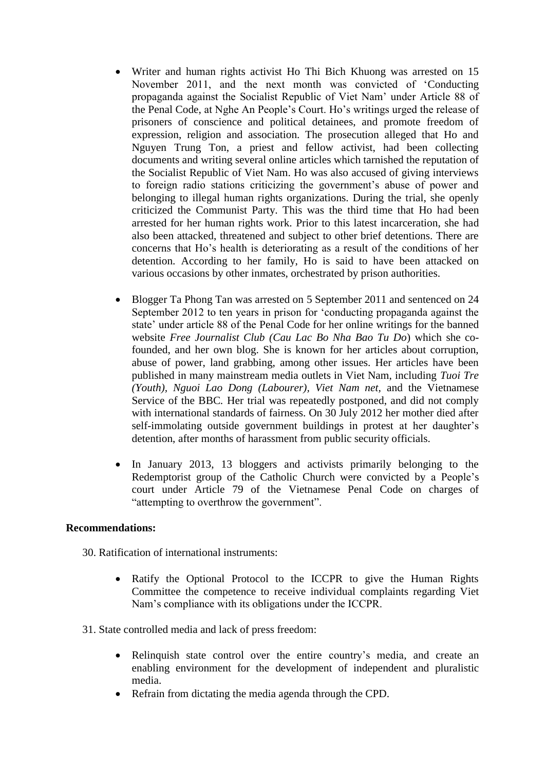- Writer and human rights activist Ho Thi Bich Khuong was arrested on 15 November 2011, and the next month was convicted of 'Conducting propaganda against the Socialist Republic of Viet Nam' under Article 88 of the Penal Code, at Nghe An People's Court. Ho's writings urged the release of prisoners of conscience and political detainees, and promote freedom of expression, religion and association. The prosecution alleged that Ho and Nguyen Trung Ton, a priest and fellow activist, had been collecting documents and writing several online articles which tarnished the reputation of the Socialist Republic of Viet Nam. Ho was also accused of giving interviews to foreign radio stations criticizing the government's abuse of power and belonging to illegal human rights organizations. During the trial, she openly criticized the Communist Party. This was the third time that Ho had been arrested for her human rights work. Prior to this latest incarceration, she had also been attacked, threatened and subject to other brief detentions. There are concerns that Ho's health is deteriorating as a result of the conditions of her detention. According to her family, Ho is said to have been attacked on various occasions by other inmates, orchestrated by prison authorities.
- Blogger Ta Phong Tan was arrested on 5 September 2011 and sentenced on 24 September 2012 to ten years in prison for 'conducting propaganda against the state' under article 88 of the Penal Code for her online writings for the banned website *Free Journalist Club (Cau Lac Bo Nha Bao Tu Do*) which she cofounded, and her own blog. She is known for her articles about corruption, abuse of power, land grabbing, among other issues. Her articles have been published in many mainstream media outlets in Viet Nam, including *Tuoi Tre (Youth), Nguoi Lao Dong (Labourer), Viet Nam net,* and the Vietnamese Service of the BBC*.* Her trial was repeatedly postponed, and did not comply with international standards of fairness. On 30 July 2012 her mother died after self-immolating outside government buildings in protest at her daughter's detention, after months of harassment from public security officials.
- In January 2013, 13 bloggers and activists primarily belonging to the Redemptorist group of the Catholic Church were convicted by a People's court under Article 79 of the Vietnamese Penal Code on charges of "attempting to overthrow the government".

#### **Recommendations:**

30. Ratification of international instruments:

- Ratify the Optional Protocol to the ICCPR to give the Human Rights Committee the competence to receive individual complaints regarding Viet Nam's compliance with its obligations under the ICCPR.
- 31. State controlled media and lack of press freedom:
	- Relinquish state control over the entire country's media, and create an enabling environment for the development of independent and pluralistic media.
	- Refrain from dictating the media agenda through the CPD.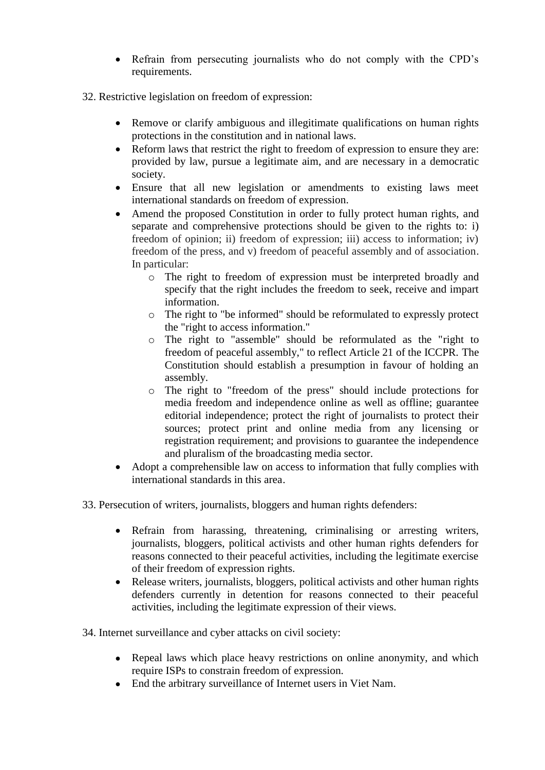- Refrain from persecuting journalists who do not comply with the CPD's requirements.
- 32. Restrictive legislation on freedom of expression:
	- Remove or clarify ambiguous and illegitimate qualifications on human rights protections in the constitution and in national laws.
	- Reform laws that restrict the right to freedom of expression to ensure they are: provided by law, pursue a legitimate aim, and are necessary in a democratic society.
	- Ensure that all new legislation or amendments to existing laws meet international standards on freedom of expression.
	- Amend the proposed Constitution in order to fully protect human rights, and separate and comprehensive protections should be given to the rights to: i) freedom of opinion; ii) freedom of expression; iii) access to information; iv) freedom of the press, and v) freedom of peaceful assembly and of association. In particular:
		- o The right to freedom of expression must be interpreted broadly and specify that the right includes the freedom to seek, receive and impart information.
		- o The right to "be informed" should be reformulated to expressly protect the "right to access information."
		- o The right to "assemble" should be reformulated as the "right to freedom of peaceful assembly," to reflect Article 21 of the ICCPR. The Constitution should establish a presumption in favour of holding an assembly.
		- o The right to "freedom of the press" should include protections for media freedom and independence online as well as offline; guarantee editorial independence; protect the right of journalists to protect their sources; protect print and online media from any licensing or registration requirement; and provisions to guarantee the independence and pluralism of the broadcasting media sector.
	- Adopt a comprehensible law on access to information that fully complies with international standards in this area.
- 33. Persecution of writers, journalists, bloggers and human rights defenders:
	- Refrain from harassing, threatening, criminalising or arresting writers, journalists, bloggers, political activists and other human rights defenders for reasons connected to their peaceful activities, including the legitimate exercise of their freedom of expression rights.
	- Release writers, journalists, bloggers, political activists and other human rights defenders currently in detention for reasons connected to their peaceful activities, including the legitimate expression of their views.

34. Internet surveillance and cyber attacks on civil society:

- Repeal laws which place heavy restrictions on online anonymity, and which require ISPs to constrain freedom of expression.
- End the arbitrary surveillance of Internet users in Viet Nam.